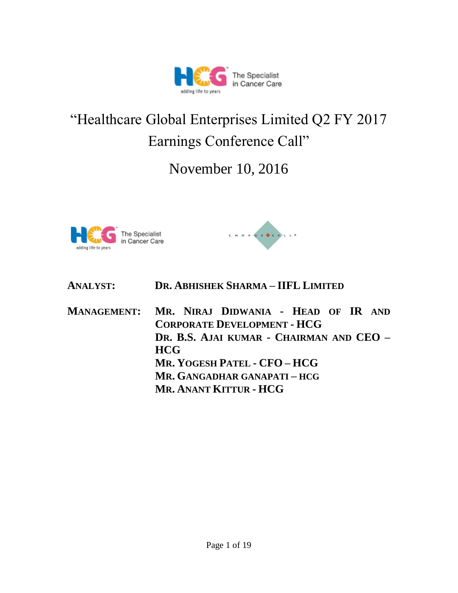

# "Healthcare Global Enterprises Limited Q2 FY 2017 Earnings Conference Call"

November 10, 2016





| <b>ANALYST:</b>                            | DR. ABHISHEK SHARMA - IIFL LIMITED |  |  |  |  |  |  |
|--------------------------------------------|------------------------------------|--|--|--|--|--|--|
| MANACEMENT: MD NIDAI DIDWANIA - HEAD OF ID |                                    |  |  |  |  |  |  |

**MANAGEMENT: MR. NIRAJ DIDWANIA - HEAD OF IR AND CORPORATE DEVELOPMENT - HCG DR. B.S. AJAI KUMAR - CHAIRMAN AND CEO – HCG MR. YOGESH PATEL - CFO – HCG MR. GANGADHAR GANAPATI – HCG MR. ANANT KITTUR - HCG**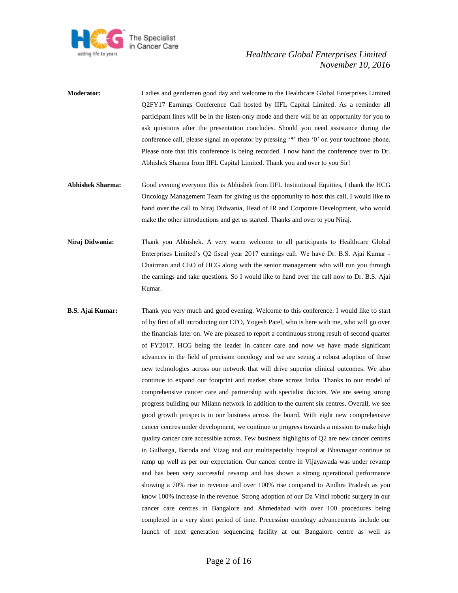

- **Moderator:** Ladies and gentlemen good day and welcome to the Healthcare Global Enterprises Limited Q2FY17 Earnings Conference Call hosted by IIFL Capital Limited. As a reminder all participant lines will be in the listen-only mode and there will be an opportunity for you to ask questions after the presentation concludes. Should you need assistance during the conference call, please signal an operator by pressing '\*' then '0' on your touchtone phone. Please note that this conference is being recorded. I now hand the conference over to Dr. Abhishek Sharma from IIFL Capital Limited. Thank you and over to you Sir!
- **Abhishek Sharma:** Good evening everyone this is Abhishek from IIFL Institutional Equities, I thank the HCG Oncology Management Team for giving us the opportunity to host this call, I would like to hand over the call to Niraj Didwania, Head of IR and Corporate Development, who would make the other introductions and get us started. Thanks and over to you Niraj.
- **Niraj Didwania:** Thank you Abhishek. A very warm welcome to all participants to Healthcare Global Enterprises Limited's Q2 fiscal year 2017 earnings call. We have Dr. B.S. Ajai Kumar - Chairman and CEO of HCG along with the senior management who will run you through the earnings and take questions. So I would like to hand over the call now to Dr. B.S. Ajai Kumar.
- **B.S. Ajai Kumar:** Thank you very much and good evening. Welcome to this conference. I would like to start of by first of all introducing our CFO, Yogesh Patel, who is here with me, who will go over the financials later on. We are pleased to report a continuous strong result of second quarter of FY2017. HCG being the leader in cancer care and now we have made significant advances in the field of precision oncology and we are seeing a robust adoption of these new technologies across our network that will drive superior clinical outcomes. We also continue to expand our footprint and market share across India. Thanks to our model of comprehensive cancer care and partnership with specialist doctors. We are seeing strong progress building our Milann network in addition to the current six centres. Overall, we see good growth prospects in our business across the board. With eight new comprehensive cancer centres under development, we continue to progress towards a mission to make high quality cancer care accessible across. Few business highlights of Q2 are new cancer centres in Gulbarga, Baroda and Vizag and our multispecialty hospital at Bhavnagar continue to ramp up well as per our expectation. Our cancer centre in Vijayawada was under revamp and has been very successful revamp and has shown a strong operational performance showing a 70% rise in revenue and over 100% rise compared to Andhra Pradesh as you know 100% increase in the revenue. Strong adoption of our Da Vinci robotic surgery in our cancer care centres in Bangalore and Ahmedabad with over 100 procedures being completed in a very short period of time. Precession oncology advancements include our launch of next generation sequencing facility at our Bangalore centre as well as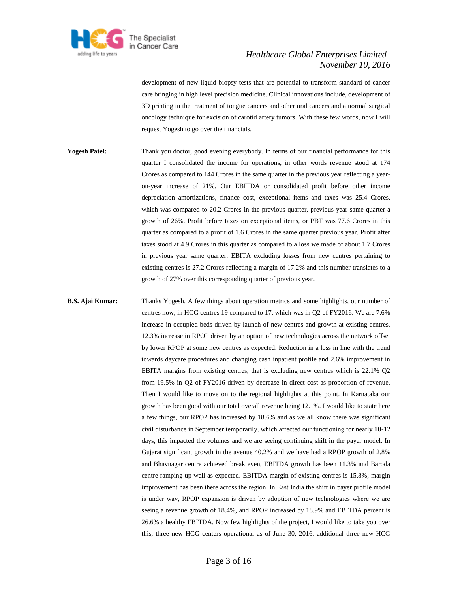

development of new liquid biopsy tests that are potential to transform standard of cancer care bringing in high level precision medicine. Clinical innovations include, development of 3D printing in the treatment of tongue cancers and other oral cancers and a normal surgical oncology technique for excision of carotid artery tumors. With these few words, now I will request Yogesh to go over the financials.

**Yogesh Patel:** Thank you doctor, good evening everybody. In terms of our financial performance for this quarter I consolidated the income for operations, in other words revenue stood at 174 Crores as compared to 144 Crores in the same quarter in the previous year reflecting a yearon-year increase of 21%. Our EBITDA or consolidated profit before other income depreciation amortizations, finance cost, exceptional items and taxes was 25.4 Crores, which was compared to 20.2 Crores in the previous quarter, previous year same quarter a growth of 26%. Profit before taxes on exceptional items, or PBT was 77.6 Crores in this quarter as compared to a profit of 1.6 Crores in the same quarter previous year. Profit after taxes stood at 4.9 Crores in this quarter as compared to a loss we made of about 1.7 Crores in previous year same quarter. EBITA excluding losses from new centres pertaining to existing centres is 27.2 Crores reflecting a margin of 17.2% and this number translates to a growth of 27% over this corresponding quarter of previous year.

**B.S. Ajai Kumar:** Thanks Yogesh. A few things about operation metrics and some highlights, our number of centres now, in HCG centres 19 compared to 17, which was in Q2 of FY2016. We are 7.6% increase in occupied beds driven by launch of new centres and growth at existing centres. 12.3% increase in RPOP driven by an option of new technologies across the network offset by lower RPOP at some new centres as expected. Reduction in a loss in line with the trend towards daycare procedures and changing cash inpatient profile and 2.6% improvement in EBITA margins from existing centres, that is excluding new centres which is 22.1% Q2 from 19.5% in Q2 of FY2016 driven by decrease in direct cost as proportion of revenue. Then I would like to move on to the regional highlights at this point. In Karnataka our growth has been good with our total overall revenue being 12.1%. I would like to state here a few things, our RPOP has increased by 18.6% and as we all know there was significant civil disturbance in September temporarily, which affected our functioning for nearly 10-12 days, this impacted the volumes and we are seeing continuing shift in the payer model. In Gujarat significant growth in the avenue 40.2% and we have had a RPOP growth of 2.8% and Bhavnagar centre achieved break even, EBITDA growth has been 11.3% and Baroda centre ramping up well as expected. EBITDA margin of existing centres is 15.8%; margin improvement has been there across the region. In East India the shift in payer profile model is under way, RPOP expansion is driven by adoption of new technologies where we are seeing a revenue growth of 18.4%, and RPOP increased by 18.9% and EBITDA percent is 26.6% a healthy EBITDA. Now few highlights of the project, I would like to take you over this, three new HCG centers operational as of June 30, 2016, additional three new HCG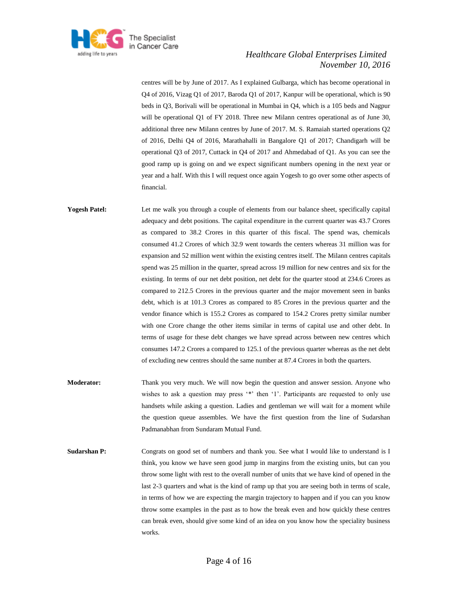

centres will be by June of 2017. As I explained Gulbarga, which has become operational in Q4 of 2016, Vizag Q1 of 2017, Baroda Q1 of 2017, Kanpur will be operational, which is 90 beds in Q3, Borivali will be operational in Mumbai in Q4, which is a 105 beds and Nagpur will be operational Q1 of FY 2018. Three new Milann centres operational as of June 30, additional three new Milann centres by June of 2017. M. S. Ramaiah started operations Q2 of 2016, Delhi Q4 of 2016, Marathahalli in Bangalore Q1 of 2017; Chandigarh will be operational Q3 of 2017, Cuttack in Q4 of 2017 and Ahmedabad of Q1. As you can see the good ramp up is going on and we expect significant numbers opening in the next year or year and a half. With this I will request once again Yogesh to go over some other aspects of financial.

Yogesh Patel: Let me walk you through a couple of elements from our balance sheet, specifically capital adequacy and debt positions. The capital expenditure in the current quarter was 43.7 Crores as compared to 38.2 Crores in this quarter of this fiscal. The spend was, chemicals consumed 41.2 Crores of which 32.9 went towards the centers whereas 31 million was for expansion and 52 million went within the existing centres itself. The Milann centres capitals spend was 25 million in the quarter, spread across 19 million for new centres and six for the existing. In terms of our net debt position, net debt for the quarter stood at 234.6 Crores as compared to 212.5 Crores in the previous quarter and the major movement seen in banks debt, which is at 101.3 Crores as compared to 85 Crores in the previous quarter and the vendor finance which is 155.2 Crores as compared to 154.2 Crores pretty similar number with one Crore change the other items similar in terms of capital use and other debt. In terms of usage for these debt changes we have spread across between new centres which consumes 147.2 Crores a compared to 125.1 of the previous quarter whereas as the net debt of excluding new centres should the same number at 87.4 Crores in both the quarters.

- **Moderator:** Thank you very much. We will now begin the question and answer session. Anyone who wishes to ask a question may press '\*' then '1'. Participants are requested to only use handsets while asking a question. Ladies and gentleman we will wait for a moment while the question queue assembles. We have the first question from the line of Sudarshan Padmanabhan from Sundaram Mutual Fund.
- **Sudarshan P:** Congrats on good set of numbers and thank you. See what I would like to understand is I think, you know we have seen good jump in margins from the existing units, but can you throw some light with rest to the overall number of units that we have kind of opened in the last 2-3 quarters and what is the kind of ramp up that you are seeing both in terms of scale, in terms of how we are expecting the margin trajectory to happen and if you can you know throw some examples in the past as to how the break even and how quickly these centres can break even, should give some kind of an idea on you know how the speciality business works.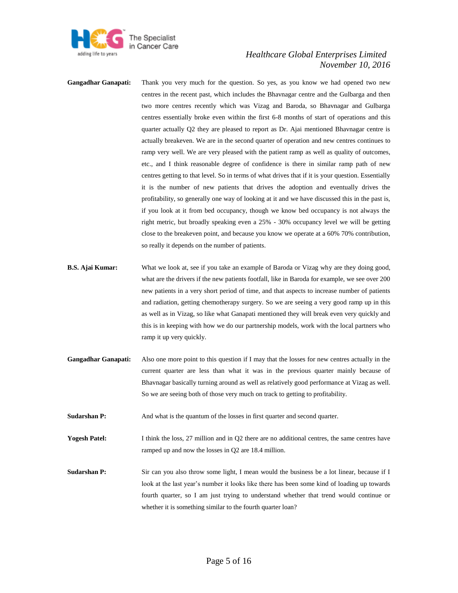

- **Gangadhar Ganapati:** Thank you very much for the question. So yes, as you know we had opened two new centres in the recent past, which includes the Bhavnagar centre and the Gulbarga and then two more centres recently which was Vizag and Baroda, so Bhavnagar and Gulbarga centres essentially broke even within the first 6-8 months of start of operations and this quarter actually Q2 they are pleased to report as Dr. Ajai mentioned Bhavnagar centre is actually breakeven. We are in the second quarter of operation and new centres continues to ramp very well. We are very pleased with the patient ramp as well as quality of outcomes, etc., and I think reasonable degree of confidence is there in similar ramp path of new centres getting to that level. So in terms of what drives that if it is your question. Essentially it is the number of new patients that drives the adoption and eventually drives the profitability, so generally one way of looking at it and we have discussed this in the past is, if you look at it from bed occupancy, though we know bed occupancy is not always the right metric, but broadly speaking even a 25% - 30% occupancy level we will be getting close to the breakeven point, and because you know we operate at a 60% 70% contribution, so really it depends on the number of patients.
- **B.S. Ajai Kumar:** What we look at, see if you take an example of Baroda or Vizag why are they doing good, what are the drivers if the new patients footfall, like in Baroda for example, we see over 200 new patients in a very short period of time, and that aspects to increase number of patients and radiation, getting chemotherapy surgery. So we are seeing a very good ramp up in this as well as in Vizag, so like what Ganapati mentioned they will break even very quickly and this is in keeping with how we do our partnership models, work with the local partners who ramp it up very quickly.
- **Gangadhar Ganapati:** Also one more point to this question if I may that the losses for new centres actually in the current quarter are less than what it was in the previous quarter mainly because of Bhavnagar basically turning around as well as relatively good performance at Vizag as well. So we are seeing both of those very much on track to getting to profitability.
- **Sudarshan P:** And what is the quantum of the losses in first quarter and second quarter.
- **Yogesh Patel:** I think the loss, 27 million and in Q2 there are no additional centres, the same centres have ramped up and now the losses in Q2 are 18.4 million.
- **Sudarshan P:** Sir can you also throw some light, I mean would the business be a lot linear, because if I look at the last year's number it looks like there has been some kind of loading up towards fourth quarter, so I am just trying to understand whether that trend would continue or whether it is something similar to the fourth quarter loan?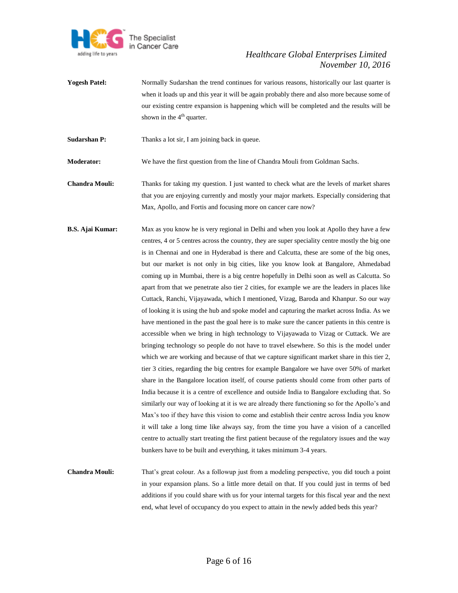

Yogesh Patel: Normally Sudarshan the trend continues for various reasons, historically our last quarter is when it loads up and this year it will be again probably there and also more because some of our existing centre expansion is happening which will be completed and the results will be shown in the  $4<sup>th</sup>$  quarter.

**Sudarshan P:** Thanks a lot sir, I am joining back in queue.

**Moderator:** We have the first question from the line of Chandra Mouli from Goldman Sachs.

- **Chandra Mouli:** Thanks for taking my question. I just wanted to check what are the levels of market shares that you are enjoying currently and mostly your major markets. Especially considering that Max, Apollo, and Fortis and focusing more on cancer care now?
- **B.S. Ajai Kumar:** Max as you know he is very regional in Delhi and when you look at Apollo they have a few centres, 4 or 5 centres across the country, they are super speciality centre mostly the big one is in Chennai and one in Hyderabad is there and Calcutta, these are some of the big ones, but our market is not only in big cities, like you know look at Bangalore, Ahmedabad coming up in Mumbai, there is a big centre hopefully in Delhi soon as well as Calcutta. So apart from that we penetrate also tier 2 cities, for example we are the leaders in places like Cuttack, Ranchi, Vijayawada, which I mentioned, Vizag, Baroda and Khanpur. So our way of looking it is using the hub and spoke model and capturing the market across India. As we have mentioned in the past the goal here is to make sure the cancer patients in this centre is accessible when we bring in high technology to Vijayawada to Vizag or Cuttack. We are bringing technology so people do not have to travel elsewhere. So this is the model under which we are working and because of that we capture significant market share in this tier 2, tier 3 cities, regarding the big centres for example Bangalore we have over 50% of market share in the Bangalore location itself, of course patients should come from other parts of India because it is a centre of excellence and outside India to Bangalore excluding that. So similarly our way of looking at it is we are already there functioning so for the Apollo's and Max's too if they have this vision to come and establish their centre across India you know it will take a long time like always say, from the time you have a vision of a cancelled centre to actually start treating the first patient because of the regulatory issues and the way bunkers have to be built and everything, it takes minimum 3-4 years.
- **Chandra Mouli:** That's great colour. As a followup just from a modeling perspective, you did touch a point in your expansion plans. So a little more detail on that. If you could just in terms of bed additions if you could share with us for your internal targets for this fiscal year and the next end, what level of occupancy do you expect to attain in the newly added beds this year?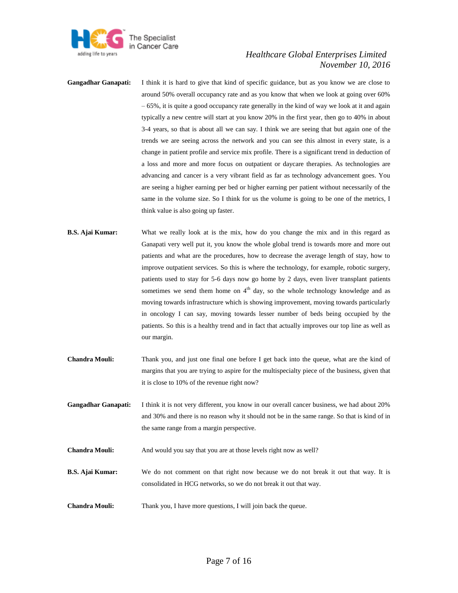

- **Gangadhar Ganapati:** I think it is hard to give that kind of specific guidance, but as you know we are close to around 50% overall occupancy rate and as you know that when we look at going over 60% – 65%, it is quite a good occupancy rate generally in the kind of way we look at it and again typically a new centre will start at you know 20% in the first year, then go to 40% in about 3-4 years, so that is about all we can say. I think we are seeing that but again one of the trends we are seeing across the network and you can see this almost in every state, is a change in patient profile and service mix profile. There is a significant trend in deduction of a loss and more and more focus on outpatient or daycare therapies. As technologies are advancing and cancer is a very vibrant field as far as technology advancement goes. You are seeing a higher earning per bed or higher earning per patient without necessarily of the same in the volume size. So I think for us the volume is going to be one of the metrics, I think value is also going up faster.
- **B.S. Ajai Kumar:** What we really look at is the mix, how do you change the mix and in this regard as Ganapati very well put it, you know the whole global trend is towards more and more out patients and what are the procedures, how to decrease the average length of stay, how to improve outpatient services. So this is where the technology, for example, robotic surgery, patients used to stay for 5-6 days now go home by 2 days, even liver transplant patients sometimes we send them home on  $4<sup>th</sup>$  day, so the whole technology knowledge and as moving towards infrastructure which is showing improvement, moving towards particularly in oncology I can say, moving towards lesser number of beds being occupied by the patients. So this is a healthy trend and in fact that actually improves our top line as well as our margin.
- **Chandra Mouli:** Thank you, and just one final one before I get back into the queue, what are the kind of margins that you are trying to aspire for the multispecialty piece of the business, given that it is close to 10% of the revenue right now?
- **Gangadhar Ganapati:** I think it is not very different, you know in our overall cancer business, we had about 20% and 30% and there is no reason why it should not be in the same range. So that is kind of in the same range from a margin perspective.

**Chandra Mouli:** And would you say that you are at those levels right now as well?

- **B.S. Ajai Kumar:** We do not comment on that right now because we do not break it out that way. It is consolidated in HCG networks, so we do not break it out that way.
- **Chandra Mouli:** Thank you, I have more questions, I will join back the queue.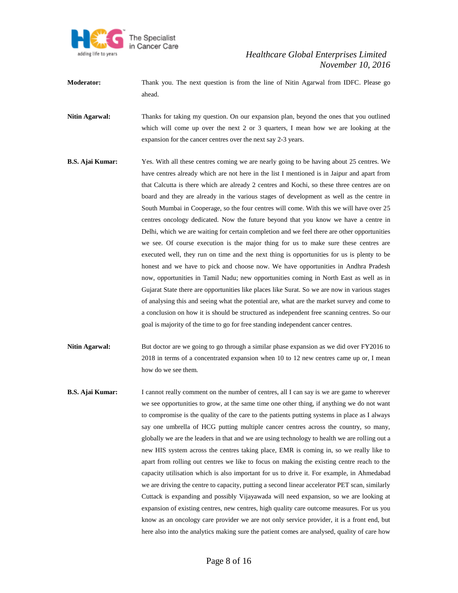

- **Moderator:** Thank you. The next question is from the line of Nitin Agarwal from IDFC. Please go ahead.
- **Nitin Agarwal:** Thanks for taking my question. On our expansion plan, beyond the ones that you outlined which will come up over the next 2 or 3 quarters, I mean how we are looking at the expansion for the cancer centres over the next say 2-3 years.
- **B.S. Ajai Kumar:** Yes. With all these centres coming we are nearly going to be having about 25 centres. We have centres already which are not here in the list I mentioned is in Jaipur and apart from that Calcutta is there which are already 2 centres and Kochi, so these three centres are on board and they are already in the various stages of development as well as the centre in South Mumbai in Cooperage, so the four centres will come. With this we will have over 25 centres oncology dedicated. Now the future beyond that you know we have a centre in Delhi, which we are waiting for certain completion and we feel there are other opportunities we see. Of course execution is the major thing for us to make sure these centres are executed well, they run on time and the next thing is opportunities for us is plenty to be honest and we have to pick and choose now. We have opportunities in Andhra Pradesh now, opportunities in Tamil Nadu; new opportunities coming in North East as well as in Gujarat State there are opportunities like places like Surat. So we are now in various stages of analysing this and seeing what the potential are, what are the market survey and come to a conclusion on how it is should be structured as independent free scanning centres. So our goal is majority of the time to go for free standing independent cancer centres.
- **Nitin Agarwal:** But doctor are we going to go through a similar phase expansion as we did over FY2016 to 2018 in terms of a concentrated expansion when 10 to 12 new centres came up or, I mean how do we see them.
- **B.S. Ajai Kumar:** I cannot really comment on the number of centres, all I can say is we are game to wherever we see opportunities to grow, at the same time one other thing, if anything we do not want to compromise is the quality of the care to the patients putting systems in place as I always say one umbrella of HCG putting multiple cancer centres across the country, so many, globally we are the leaders in that and we are using technology to health we are rolling out a new HIS system across the centres taking place, EMR is coming in, so we really like to apart from rolling out centres we like to focus on making the existing centre reach to the capacity utilisation which is also important for us to drive it. For example, in Ahmedabad we are driving the centre to capacity, putting a second linear accelerator PET scan, similarly Cuttack is expanding and possibly Vijayawada will need expansion, so we are looking at expansion of existing centres, new centres, high quality care outcome measures. For us you know as an oncology care provider we are not only service provider, it is a front end, but here also into the analytics making sure the patient comes are analysed, quality of care how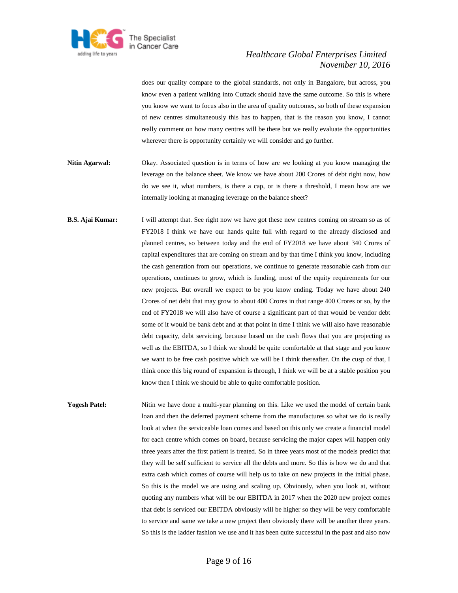

does our quality compare to the global standards, not only in Bangalore, but across, you know even a patient walking into Cuttack should have the same outcome. So this is where you know we want to focus also in the area of quality outcomes, so both of these expansion of new centres simultaneously this has to happen, that is the reason you know, I cannot really comment on how many centres will be there but we really evaluate the opportunities wherever there is opportunity certainly we will consider and go further.

- **Nitin Agarwal:** Okay. Associated question is in terms of how are we looking at you know managing the leverage on the balance sheet. We know we have about 200 Crores of debt right now, how do we see it, what numbers, is there a cap, or is there a threshold, I mean how are we internally looking at managing leverage on the balance sheet?
- **B.S. Ajai Kumar:** I will attempt that. See right now we have got these new centres coming on stream so as of FY2018 I think we have our hands quite full with regard to the already disclosed and planned centres, so between today and the end of FY2018 we have about 340 Crores of capital expenditures that are coming on stream and by that time I think you know, including the cash generation from our operations, we continue to generate reasonable cash from our operations, continues to grow, which is funding, most of the equity requirements for our new projects. But overall we expect to be you know ending. Today we have about 240 Crores of net debt that may grow to about 400 Crores in that range 400 Crores or so, by the end of FY2018 we will also have of course a significant part of that would be vendor debt some of it would be bank debt and at that point in time I think we will also have reasonable debt capacity, debt servicing, because based on the cash flows that you are projecting as well as the EBITDA, so I think we should be quite comfortable at that stage and you know we want to be free cash positive which we will be I think thereafter. On the cusp of that, I think once this big round of expansion is through, I think we will be at a stable position you know then I think we should be able to quite comfortable position.

**Yogesh Patel:** Nitin we have done a multi-year planning on this. Like we used the model of certain bank loan and then the deferred payment scheme from the manufactures so what we do is really look at when the serviceable loan comes and based on this only we create a financial model for each centre which comes on board, because servicing the major capex will happen only three years after the first patient is treated. So in three years most of the models predict that they will be self sufficient to service all the debts and more. So this is how we do and that extra cash which comes of course will help us to take on new projects in the initial phase. So this is the model we are using and scaling up. Obviously, when you look at, without quoting any numbers what will be our EBITDA in 2017 when the 2020 new project comes that debt is serviced our EBITDA obviously will be higher so they will be very comfortable to service and same we take a new project then obviously there will be another three years. So this is the ladder fashion we use and it has been quite successful in the past and also now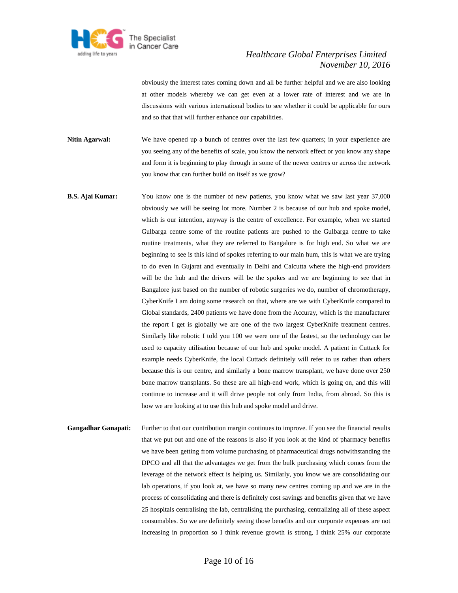

obviously the interest rates coming down and all be further helpful and we are also looking at other models whereby we can get even at a lower rate of interest and we are in discussions with various international bodies to see whether it could be applicable for ours and so that that will further enhance our capabilities.

- **Nitin Agarwal:** We have opened up a bunch of centres over the last few quarters; in your experience are you seeing any of the benefits of scale, you know the network effect or you know any shape and form it is beginning to play through in some of the newer centres or across the network you know that can further build on itself as we grow?
- **B.S. Ajai Kumar:** You know one is the number of new patients, you know what we saw last year 37,000 obviously we will be seeing lot more. Number 2 is because of our hub and spoke model, which is our intention, anyway is the centre of excellence. For example, when we started Gulbarga centre some of the routine patients are pushed to the Gulbarga centre to take routine treatments, what they are referred to Bangalore is for high end. So what we are beginning to see is this kind of spokes referring to our main hum, this is what we are trying to do even in Gujarat and eventually in Delhi and Calcutta where the high-end providers will be the hub and the drivers will be the spokes and we are beginning to see that in Bangalore just based on the number of robotic surgeries we do, number of chromotherapy, CyberKnife I am doing some research on that, where are we with CyberKnife compared to Global standards, 2400 patients we have done from the Accuray, which is the manufacturer the report I get is globally we are one of the two largest CyberKnife treatment centres. Similarly like robotic I told you 100 we were one of the fastest, so the technology can be used to capacity utilisation because of our hub and spoke model. A patient in Cuttack for example needs CyberKnife, the local Cuttack definitely will refer to us rather than others because this is our centre, and similarly a bone marrow transplant, we have done over 250 bone marrow transplants. So these are all high-end work, which is going on, and this will continue to increase and it will drive people not only from India, from abroad. So this is how we are looking at to use this hub and spoke model and drive.
- Gangadhar Ganapati: Further to that our contribution margin continues to improve. If you see the financial results that we put out and one of the reasons is also if you look at the kind of pharmacy benefits we have been getting from volume purchasing of pharmaceutical drugs notwithstanding the DPCO and all that the advantages we get from the bulk purchasing which comes from the leverage of the network effect is helping us. Similarly, you know we are consolidating our lab operations, if you look at, we have so many new centres coming up and we are in the process of consolidating and there is definitely cost savings and benefits given that we have 25 hospitals centralising the lab, centralising the purchasing, centralizing all of these aspect consumables. So we are definitely seeing those benefits and our corporate expenses are not increasing in proportion so I think revenue growth is strong, I think 25% our corporate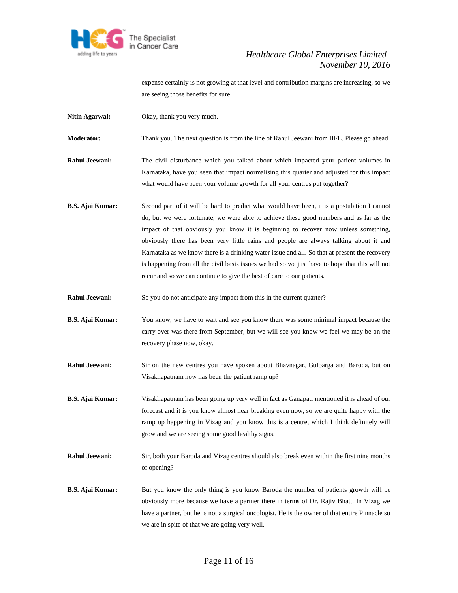

expense certainly is not growing at that level and contribution margins are increasing, so we are seeing those benefits for sure.

**Nitin Agarwal:** Okay, thank you very much.

**Moderator:** Thank you. The next question is from the line of Rahul Jeewani from IIFL. Please go ahead.

- **Rahul Jeewani:** The civil disturbance which you talked about which impacted your patient volumes in Karnataka, have you seen that impact normalising this quarter and adjusted for this impact what would have been your volume growth for all your centres put together?
- **B.S. Ajai Kumar:** Second part of it will be hard to predict what would have been, it is a postulation I cannot do, but we were fortunate, we were able to achieve these good numbers and as far as the impact of that obviously you know it is beginning to recover now unless something, obviously there has been very little rains and people are always talking about it and Karnataka as we know there is a drinking water issue and all. So that at present the recovery is happening from all the civil basis issues we had so we just have to hope that this will not recur and so we can continue to give the best of care to our patients.
- **Rahul Jeewani:** So you do not anticipate any impact from this in the current quarter?
- **B.S. Ajai Kumar:** You know, we have to wait and see you know there was some minimal impact because the carry over was there from September, but we will see you know we feel we may be on the recovery phase now, okay.
- **Rahul Jeewani:** Sir on the new centres you have spoken about Bhavnagar, Gulbarga and Baroda, but on Visakhapatnam how has been the patient ramp up?
- **B.S. Ajai Kumar:** Visakhapatnam has been going up very well in fact as Ganapati mentioned it is ahead of our forecast and it is you know almost near breaking even now, so we are quite happy with the ramp up happening in Vizag and you know this is a centre, which I think definitely will grow and we are seeing some good healthy signs.
- **Rahul Jeewani:** Sir, both your Baroda and Vizag centres should also break even within the first nine months of opening?
- **B.S. Ajai Kumar:** But you know the only thing is you know Baroda the number of patients growth will be obviously more because we have a partner there in terms of Dr. Rajiv Bhatt. In Vizag we have a partner, but he is not a surgical oncologist. He is the owner of that entire Pinnacle so we are in spite of that we are going very well.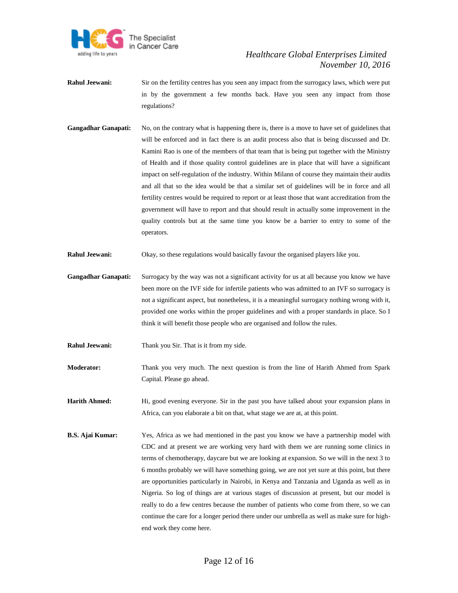

- **Rahul Jeewani:** Sir on the fertility centres has you seen any impact from the surrogacy laws, which were put in by the government a few months back. Have you seen any impact from those regulations?
- Gangadhar Ganapati: No, on the contrary what is happening there is, there is a move to have set of guidelines that will be enforced and in fact there is an audit process also that is being discussed and Dr. Kamini Rao is one of the members of that team that is being put together with the Ministry of Health and if those quality control guidelines are in place that will have a significant impact on self-regulation of the industry. Within Milann of course they maintain their audits and all that so the idea would be that a similar set of guidelines will be in force and all fertility centres would be required to report or at least those that want accreditation from the government will have to report and that should result in actually some improvement in the quality controls but at the same time you know be a barrier to entry to some of the operators.
- **Rahul Jeewani:** Okay, so these regulations would basically favour the organised players like you.
- **Gangadhar Ganapati:** Surrogacy by the way was not a significant activity for us at all because you know we have been more on the IVF side for infertile patients who was admitted to an IVF so surrogacy is not a significant aspect, but nonetheless, it is a meaningful surrogacy nothing wrong with it, provided one works within the proper guidelines and with a proper standards in place. So I think it will benefit those people who are organised and follow the rules.
- **Rahul Jeewani:** Thank you Sir. That is it from my side.
- **Moderator:** Thank you very much. The next question is from the line of Harith Ahmed from Spark Capital. Please go ahead.
- **Harith Ahmed:** Hi, good evening everyone. Sir in the past you have talked about your expansion plans in Africa, can you elaborate a bit on that, what stage we are at, at this point.
- **B.S. Ajai Kumar:** Yes, Africa as we had mentioned in the past you know we have a partnership model with CDC and at present we are working very hard with them we are running some clinics in terms of chemotherapy, daycare but we are looking at expansion. So we will in the next 3 to 6 months probably we will have something going, we are not yet sure at this point, but there are opportunities particularly in Nairobi, in Kenya and Tanzania and Uganda as well as in Nigeria. So log of things are at various stages of discussion at present, but our model is really to do a few centres because the number of patients who come from there, so we can continue the care for a longer period there under our umbrella as well as make sure for highend work they come here.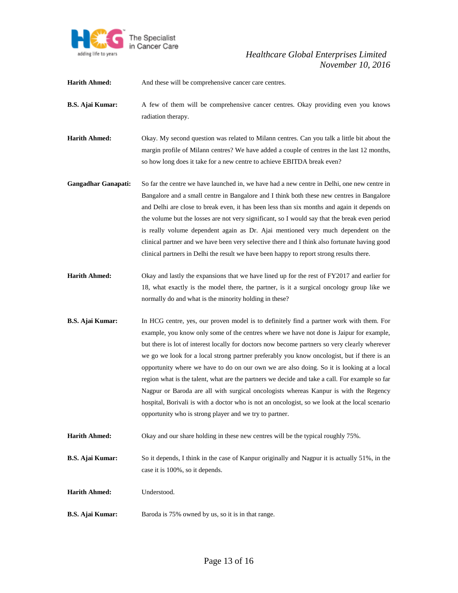

Harith Ahmed: And these will be comprehensive cancer care centres.

- **B.S. Ajai Kumar:** A few of them will be comprehensive cancer centres. Okay providing even you knows radiation therapy.
- **Harith Ahmed:** Okay. My second question was related to Milann centres. Can you talk a little bit about the margin profile of Milann centres? We have added a couple of centres in the last 12 months, so how long does it take for a new centre to achieve EBITDA break even?
- **Gangadhar Ganapati:** So far the centre we have launched in, we have had a new centre in Delhi, one new centre in Bangalore and a small centre in Bangalore and I think both these new centres in Bangalore and Delhi are close to break even, it has been less than six months and again it depends on the volume but the losses are not very significant, so I would say that the break even period is really volume dependent again as Dr. Ajai mentioned very much dependent on the clinical partner and we have been very selective there and I think also fortunate having good clinical partners in Delhi the result we have been happy to report strong results there.
- **Harith Ahmed:** Okay and lastly the expansions that we have lined up for the rest of FY2017 and earlier for 18, what exactly is the model there, the partner, is it a surgical oncology group like we normally do and what is the minority holding in these?
- **B.S. Ajai Kumar:** In HCG centre, yes, our proven model is to definitely find a partner work with them. For example, you know only some of the centres where we have not done is Jaipur for example, but there is lot of interest locally for doctors now become partners so very clearly wherever we go we look for a local strong partner preferably you know oncologist, but if there is an opportunity where we have to do on our own we are also doing. So it is looking at a local region what is the talent, what are the partners we decide and take a call. For example so far Nagpur or Baroda are all with surgical oncologists whereas Kanpur is with the Regency hospital, Borivali is with a doctor who is not an oncologist, so we look at the local scenario opportunity who is strong player and we try to partner.
- **Harith Ahmed:** Okay and our share holding in these new centres will be the typical roughly 75%.
- **B.S. Ajai Kumar:** So it depends, I think in the case of Kanpur originally and Nagpur it is actually 51%, in the case it is 100%, so it depends.
- **Harith Ahmed:** Understood.
- **B.S. Ajai Kumar:** Baroda is 75% owned by us, so it is in that range.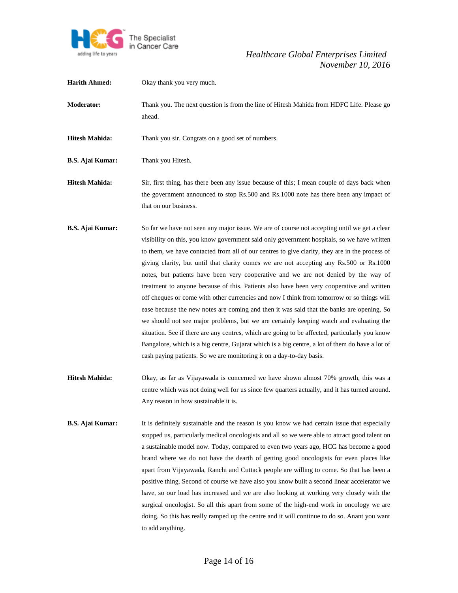

**Harith Ahmed:** Okay thank you very much. **Moderator:** Thank you. The next question is from the line of Hitesh Mahida from HDFC Life. Please go ahead. Hitesh Mahida: Thank you sir. Congrats on a good set of numbers. **B.S. Ajai Kumar:** Thank you Hitesh. **Hitesh Mahida:** Sir, first thing, has there been any issue because of this; I mean couple of days back when the government announced to stop Rs.500 and Rs.1000 note has there been any impact of that on our business. **B.S. Ajai Kumar:** So far we have not seen any major issue. We are of course not accepting until we get a clear visibility on this, you know government said only government hospitals, so we have written to them, we have contacted from all of our centres to give clarity, they are in the process of giving clarity, but until that clarity comes we are not accepting any Rs.500 or Rs.1000 notes, but patients have been very cooperative and we are not denied by the way of treatment to anyone because of this. Patients also have been very cooperative and written off cheques or come with other currencies and now I think from tomorrow or so things will ease because the new notes are coming and then it was said that the banks are opening. So we should not see major problems, but we are certainly keeping watch and evaluating the situation. See if there are any centres, which are going to be affected, particularly you know Bangalore, which is a big centre, Gujarat which is a big centre, a lot of them do have a lot of cash paying patients. So we are monitoring it on a day-to-day basis. **Hitesh Mahida:** Okay, as far as Vijayawada is concerned we have shown almost 70% growth, this was a centre which was not doing well for us since few quarters actually, and it has turned around. Any reason in how sustainable it is. **B.S. Ajai Kumar:** It is definitely sustainable and the reason is you know we had certain issue that especially stopped us, particularly medical oncologists and all so we were able to attract good talent on a sustainable model now. Today, compared to even two years ago, HCG has become a good brand where we do not have the dearth of getting good oncologists for even places like apart from Vijayawada, Ranchi and Cuttack people are willing to come. So that has been a positive thing. Second of course we have also you know built a second linear accelerator we have, so our load has increased and we are also looking at working very closely with the surgical oncologist. So all this apart from some of the high-end work in oncology we are doing. So this has really ramped up the centre and it will continue to do so. Anant you want to add anything.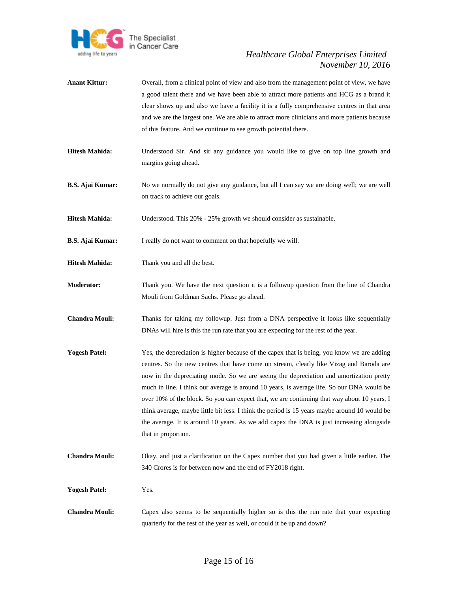

- **Anant Kittur:** Overall, from a clinical point of view and also from the management point of view, we have a good talent there and we have been able to attract more patients and HCG as a brand it clear shows up and also we have a facility it is a fully comprehensive centres in that area and we are the largest one. We are able to attract more clinicians and more patients because of this feature. And we continue to see growth potential there.
- **Hitesh Mahida:** Understood Sir. And sir any guidance you would like to give on top line growth and margins going ahead.
- **B.S. Ajai Kumar:** No we normally do not give any guidance, but all I can say we are doing well; we are well on track to achieve our goals.

**Hitesh Mahida:** Understood. This 20% - 25% growth we should consider as sustainable.

- **B.S. Ajai Kumar:** I really do not want to comment on that hopefully we will.
- **Hitesh Mahida:** Thank you and all the best.
- **Moderator:** Thank you. We have the next question it is a followup question from the line of Chandra Mouli from Goldman Sachs. Please go ahead.
- **Chandra Mouli:** Thanks for taking my followup. Just from a DNA perspective it looks like sequentially DNAs will hire is this the run rate that you are expecting for the rest of the year.
- **Yogesh Patel:** Yes, the depreciation is higher because of the capex that is being, you know we are adding centres. So the new centres that have come on stream, clearly like Vizag and Baroda are now in the depreciating mode. So we are seeing the depreciation and amortization pretty much in line. I think our average is around 10 years, is average life. So our DNA would be over 10% of the block. So you can expect that, we are continuing that way about 10 years, I think average, maybe little bit less. I think the period is 15 years maybe around 10 would be the average. It is around 10 years. As we add capex the DNA is just increasing alongside that in proportion.
- **Chandra Mouli:** Okay, and just a clarification on the Capex number that you had given a little earlier. The 340 Crores is for between now and the end of FY2018 right.
- **Yogesh Patel:** Yes.
- **Chandra Mouli:** Capex also seems to be sequentially higher so is this the run rate that your expecting quarterly for the rest of the year as well, or could it be up and down?